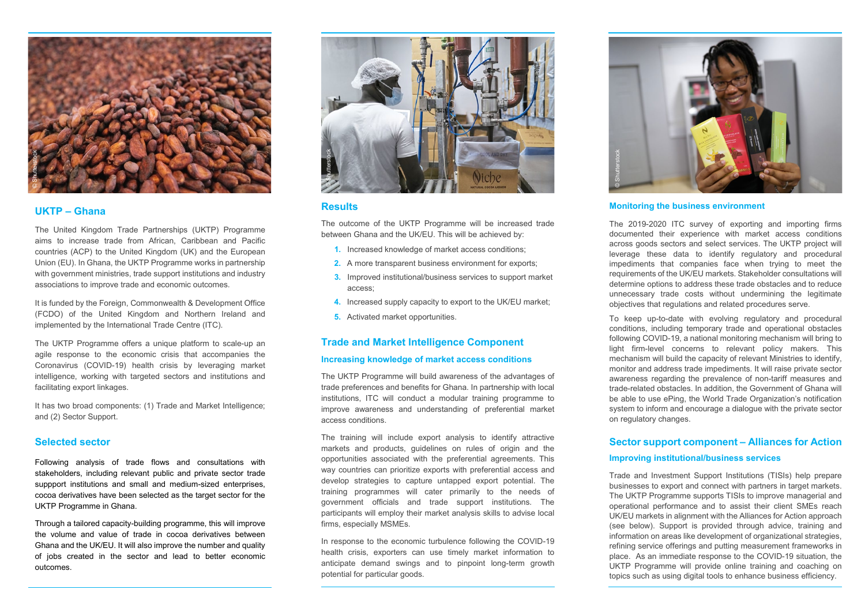## **Results**

- **1.** Increased knowledge of market access conditions;
- **2.** A more transparent business environment for exports;
- **3.** Improved institutional/business services to support market access;
- **4.** Increased supply capacity to export to the UK/EU market;
- **5.** Activated market opportunities.

The outcome of the UKTP Programme will be increased trade between Ghana and the UK/EU. This will be achieved by:

#### **Trade and Market Intelligence Component**

#### **Increasing knowledge of market access conditions**

The UKTP Programme will build awareness of the advantages of trade preferences and benefits for Ghana. In partnership with local institutions, ITC will conduct a modular training programme to improve awareness and understanding of preferential market access conditions.

The training will include export analysis to identify attractive markets and products, guidelines on rules of origin and the opportunities associated with the preferential agreements. This way countries can prioritize exports with preferential access and develop strategies to capture untapped export potential. The training programmes will cater primarily to the needs of government officials and trade support institutions. The participants will employ their market analysis skills to advise local firms, especially MSMEs.

In response to the economic turbulence following the COVID-19 health crisis, exporters can use timely market information to anticipate demand swings and to pinpoint long-term growth potential for particular goods.

## **UKTP – Ghana**

The United Kingdom Trade Partnerships (UKTP) Programme aims to increase trade from African, Caribbean and Pacific countries (ACP) to the United Kingdom (UK) and the European Union (EU). In Ghana, the UKTP Programme works in partnership with government ministries, trade support institutions and industry associations to improve trade and economic outcomes.

It is funded by the Foreign, Commonwealth & Development Office (FCDO) of the United Kingdom and Northern Ireland and implemented by the International Trade Centre (ITC).

The UKTP Programme offers a unique platform to scale-up an agile response to the economic crisis that accompanies the Coronavirus (COVID-19) health crisis by leveraging market intelligence, working with targeted sectors and institutions and facilitating export linkages.

It has two broad components: (1) Trade and Market Intelligence; and (2) Sector Support.

### **Selected sector**

Following analysis of trade flows and consultations with stakeholders, including relevant public and private sector trade suppport institutions and small and medium-sized enterprises, cocoa derivatives have been selected as the target sector for the UKTP Programme in Ghana.

Through a tailored capacity-building programme, this will improve the volume and value of trade in cocoa derivatives between Ghana and the UK/EU. It will also improve the number and quality of jobs created in the sector and lead to better economic outcomes.

#### **Monitoring the business environment**

The 2019-2020 ITC survey of exporting and importing firms documented their experience with market access conditions across goods sectors and select services. The UKTP project will leverage these data to identify regulatory and procedural impediments that companies face when trying to meet the requirements of the UK/EU markets. Stakeholder consultations will determine options to address these trade obstacles and to reduce unnecessary trade costs without undermining the legitimate objectives that regulations and related procedures serve.

To keep up-to-date with evolving regulatory and procedural conditions, including temporary trade and operational obstacles following COVID-19, a national monitoring mechanism will bring to light firm-level concerns to relevant policy makers. This mechanism will build the capacity of relevant Ministries to identify, monitor and address trade impediments. It will raise private sector awareness regarding the prevalence of non-tariff measures and trade-related obstacles. In addition, the Government of Ghana will be able to use ePing, the World Trade Organization's notification system to inform and encourage a dialogue with the private sector on regulatory changes.

# **Sector support component – Alliances for Action Improving institutional/business services**

Trade and Investment Support Institutions (TISIs) help prepare businesses to export and connect with partners in target markets. The UKTP Programme supports TISIs to improve managerial and operational performance and to assist their client SMEs reach UK/EU markets in alignment with the Alliances for Action approach (see below). Support is provided through advice, training and information on areas like development of organizational strategies, refining service offerings and putting measurement frameworks in place. As an immediate response to the COVID-19 situation, the UKTP Programme will provide online training and coaching on topics such as using digital tools to enhance business efficiency.